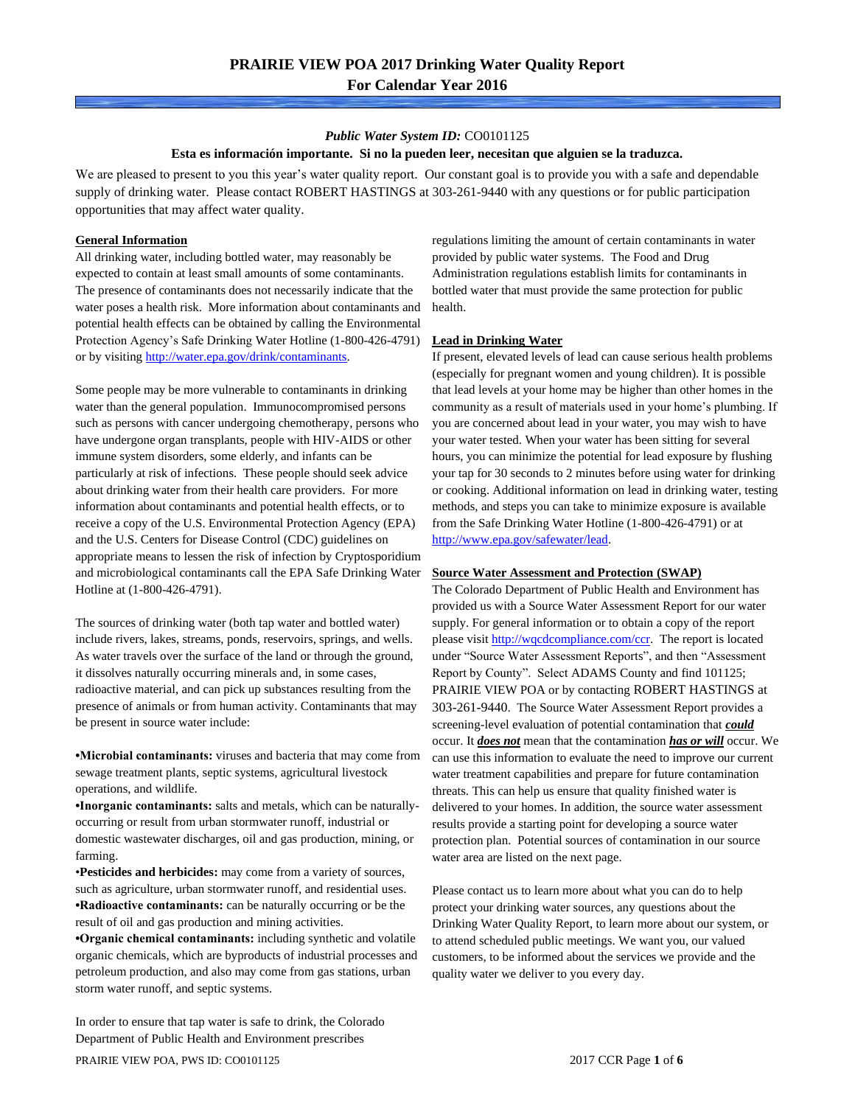### *Public Water System ID:* CO0101125

### **Esta es información importante. Si no la pueden leer, necesitan que alguien se la traduzca.**

We are pleased to present to you this year's water quality report. Our constant goal is to provide you with a safe and dependable supply of drinking water. Please contact ROBERT HASTINGS at 303-261-9440 with any questions or for public participation opportunities that may affect water quality.

### **General Information**

All drinking water, including bottled water, may reasonably be expected to contain at least small amounts of some contaminants. The presence of contaminants does not necessarily indicate that the water poses a health risk. More information about contaminants and potential health effects can be obtained by calling the Environmental Protection Agency's Safe Drinking Water Hotline (1-800-426-4791) or by visiting [http://water.epa.gov/drink/contaminants.](http://water.epa.gov/drink/contaminants)

Some people may be more vulnerable to contaminants in drinking water than the general population. Immunocompromised persons such as persons with cancer undergoing chemotherapy, persons who have undergone organ transplants, people with HIV-AIDS or other immune system disorders, some elderly, and infants can be particularly at risk of infections. These people should seek advice about drinking water from their health care providers. For more information about contaminants and potential health effects, or to receive a copy of the U.S. Environmental Protection Agency (EPA) and the U.S. Centers for Disease Control (CDC) guidelines on appropriate means to lessen the risk of infection by Cryptosporidium and microbiological contaminants call the EPA Safe Drinking Water Hotline at (1-800-426-4791).

The sources of drinking water (both tap water and bottled water) include rivers, lakes, streams, ponds, reservoirs, springs, and wells. As water travels over the surface of the land or through the ground, it dissolves naturally occurring minerals and, in some cases, radioactive material, and can pick up substances resulting from the presence of animals or from human activity. Contaminants that may be present in source water include:

**•Microbial contaminants:** viruses and bacteria that may come from sewage treatment plants, septic systems, agricultural livestock operations, and wildlife.

**•Inorganic contaminants:** salts and metals, which can be naturallyoccurring or result from urban stormwater runoff, industrial or domestic wastewater discharges, oil and gas production, mining, or farming.

•**Pesticides and herbicides:** may come from a variety of sources, such as agriculture, urban stormwater runoff, and residential uses. **•Radioactive contaminants:** can be naturally occurring or be the result of oil and gas production and mining activities.

**•Organic chemical contaminants:** including synthetic and volatile organic chemicals, which are byproducts of industrial processes and petroleum production, and also may come from gas stations, urban storm water runoff, and septic systems.

In order to ensure that tap water is safe to drink, the Colorado Department of Public Health and Environment prescribes

regulations limiting the amount of certain contaminants in water provided by public water systems. The Food and Drug Administration regulations establish limits for contaminants in bottled water that must provide the same protection for public health.

### **Lead in Drinking Water**

If present, elevated levels of lead can cause serious health problems (especially for pregnant women and young children). It is possible that lead levels at your home may be higher than other homes in the community as a result of materials used in your home's plumbing. If you are concerned about lead in your water, you may wish to have your water tested. When your water has been sitting for several hours, you can minimize the potential for lead exposure by flushing your tap for 30 seconds to 2 minutes before using water for drinking or cooking. Additional information on lead in drinking water, testing methods, and steps you can take to minimize exposure is available from the Safe Drinking Water Hotline (1-800-426-4791) or at [http://www.epa.gov/safewater/lead.](http://www.epa.gov/safewater/lead) 

### **Source Water Assessment and Protection (SWAP)**

The Colorado Department of Public Health and Environment has provided us with a Source Water Assessment Report for our water supply. For general information or to obtain a copy of the report please visit [http://wqcdcompliance.com/ccr.](http://wqcdcompliance.com/ccr) The report is located under "Source Water Assessment Reports", and then "Assessment Report by County". Select ADAMS County and find 101125; PRAIRIE VIEW POA or by contacting ROBERT HASTINGS at 303-261-9440. The Source Water Assessment Report provides a screening-level evaluation of potential contamination that *could* occur. It *does not* mean that the contamination *has or will* occur. We can use this information to evaluate the need to improve our current water treatment capabilities and prepare for future contamination threats. This can help us ensure that quality finished water is delivered to your homes. In addition, the source water assessment results provide a starting point for developing a source water protection plan. Potential sources of contamination in our source water area are listed on the next page.

Please contact us to learn more about what you can do to help protect your drinking water sources, any questions about the Drinking Water Quality Report, to learn more about our system, or to attend scheduled public meetings. We want you, our valued customers, to be informed about the services we provide and the quality water we deliver to you every day.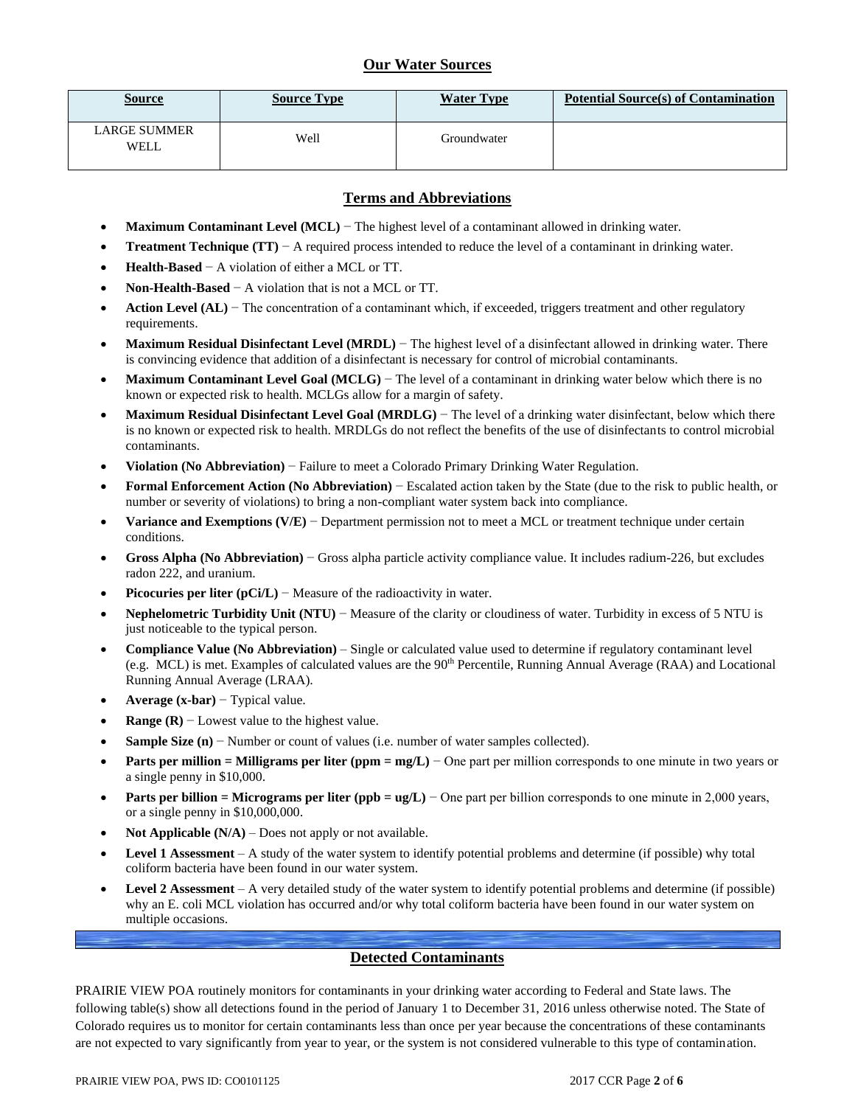# **Our Water Sources**

| <b>Source</b>               | <b>Source Type</b> | <b>Water Type</b> | <b>Potential Source(s) of Contamination</b> |
|-----------------------------|--------------------|-------------------|---------------------------------------------|
| <b>LARGE SUMMER</b><br>WELL | Well               | Groundwater       |                                             |

### **Terms and Abbreviations**

- **Maximum Contaminant Level (MCL)** − The highest level of a contaminant allowed in drinking water.
- **Treatment Technique (TT)** − A required process intended to reduce the level of a contaminant in drinking water.
- **Health-Based** − A violation of either a MCL or TT.
- **Non-Health-Based** − A violation that is not a MCL or TT.
- **Action Level (AL)** − The concentration of a contaminant which, if exceeded, triggers treatment and other regulatory requirements.
- **Maximum Residual Disinfectant Level (MRDL)** − The highest level of a disinfectant allowed in drinking water. There is convincing evidence that addition of a disinfectant is necessary for control of microbial contaminants.
- **Maximum Contaminant Level Goal (MCLG)** − The level of a contaminant in drinking water below which there is no known or expected risk to health. MCLGs allow for a margin of safety.
- **Maximum Residual Disinfectant Level Goal (MRDLG)** − The level of a drinking water disinfectant, below which there is no known or expected risk to health. MRDLGs do not reflect the benefits of the use of disinfectants to control microbial contaminants.
- **Violation (No Abbreviation)** − Failure to meet a Colorado Primary Drinking Water Regulation.
- **Formal Enforcement Action (No Abbreviation)** − Escalated action taken by the State (due to the risk to public health, or number or severity of violations) to bring a non-compliant water system back into compliance.
- **Variance and Exemptions (V/E)** − Department permission not to meet a MCL or treatment technique under certain conditions.
- **Gross Alpha (No Abbreviation)** − Gross alpha particle activity compliance value. It includes radium-226, but excludes radon 222, and uranium.
- **Picocuries per liter (pCi/L)** − Measure of the radioactivity in water.
- **Nephelometric Turbidity Unit (NTU)** − Measure of the clarity or cloudiness of water. Turbidity in excess of 5 NTU is just noticeable to the typical person.
- **Compliance Value (No Abbreviation)** Single or calculated value used to determine if regulatory contaminant level (e.g. MCL) is met. Examples of calculated values are the 90<sup>th</sup> Percentile, Running Annual Average (RAA) and Locational Running Annual Average (LRAA).
- **Average (x-bar)** − Typical value.
- **Range (R)**  $-$  Lowest value to the highest value.
- **Sample Size (n)** − Number or count of values (i.e. number of water samples collected).
- **Parts per million = Milligrams per liter (ppm = mg/L)** − One part per million corresponds to one minute in two years or a single penny in \$10,000.
- **Parts per billion = Micrograms per liter (ppb = ug/L)** − One part per billion corresponds to one minute in 2,000 years, or a single penny in \$10,000,000.
- **Not Applicable**  $(N/A)$  Does not apply or not available.
- **Level 1 Assessment** A study of the water system to identify potential problems and determine (if possible) why total coliform bacteria have been found in our water system.
- **Level 2 Assessment** A very detailed study of the water system to identify potential problems and determine (if possible) why an E. coli MCL violation has occurred and/or why total coliform bacteria have been found in our water system on multiple occasions.

## **Detected Contaminants**

PRAIRIE VIEW POA routinely monitors for contaminants in your drinking water according to Federal and State laws. The following table(s) show all detections found in the period of January 1 to December 31, 2016 unless otherwise noted. The State of Colorado requires us to monitor for certain contaminants less than once per year because the concentrations of these contaminants are not expected to vary significantly from year to year, or the system is not considered vulnerable to this type of contamination.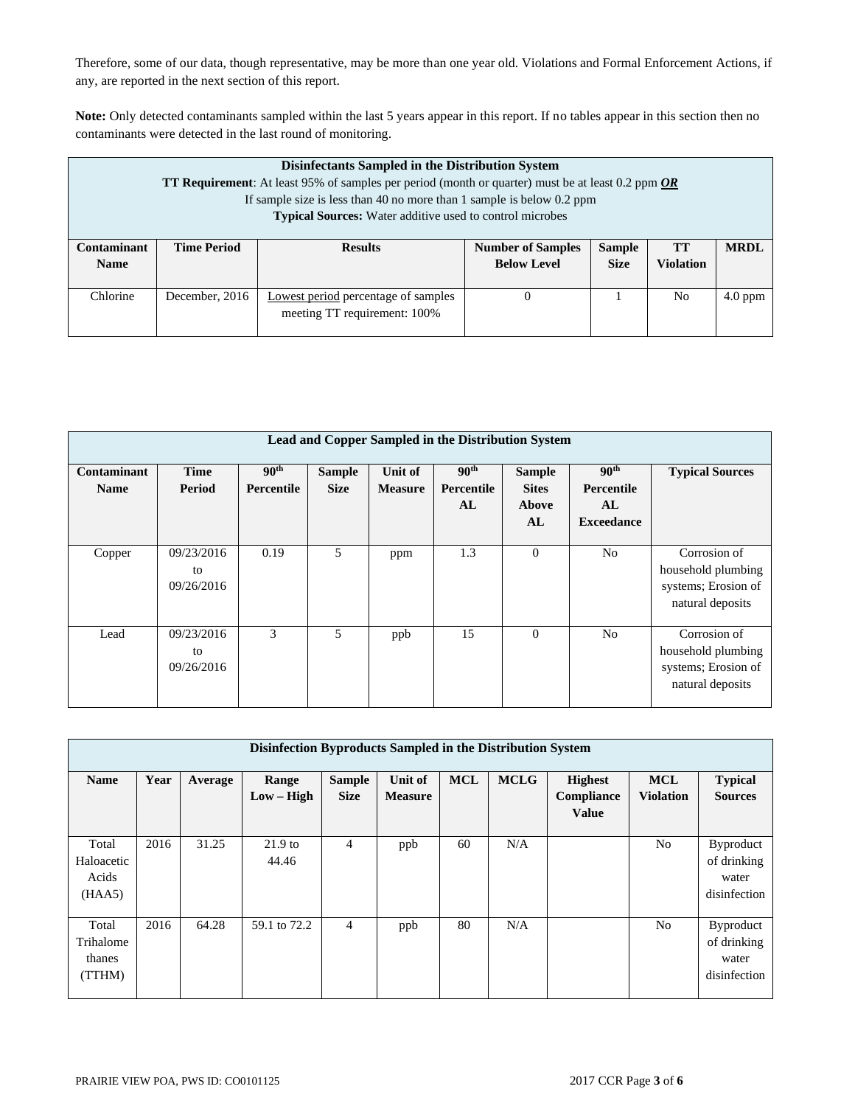Therefore, some of our data, though representative, may be more than one year old. Violations and Formal Enforcement Actions, if any, are reported in the next section of this report.

**Note:** Only detected contaminants sampled within the last 5 years appear in this report. If no tables appear in this section then no contaminants were detected in the last round of monitoring.

| Disinfectants Sampled in the Distribution System<br><b>TT Requirement:</b> At least 95% of samples per period (month or quarter) must be at least 0.2 ppm $OR$<br>If sample size is less than 40 no more than 1 sample is below 0.2 ppm<br><b>Typical Sources:</b> Water additive used to control microbes |                    |                                                                     |                                                |                              |                        |             |  |
|------------------------------------------------------------------------------------------------------------------------------------------------------------------------------------------------------------------------------------------------------------------------------------------------------------|--------------------|---------------------------------------------------------------------|------------------------------------------------|------------------------------|------------------------|-------------|--|
| <b>Contaminant</b><br><b>Name</b>                                                                                                                                                                                                                                                                          | <b>Time Period</b> | <b>Results</b>                                                      | <b>Number of Samples</b><br><b>Below Level</b> | <b>Sample</b><br><b>Size</b> | <b>TT</b><br>Violation | <b>MRDL</b> |  |
| Chlorine                                                                                                                                                                                                                                                                                                   | December, 2016     | Lowest period percentage of samples<br>meeting TT requirement: 100% | 0                                              |                              | N <sub>0</sub>         | $4.0$ ppm   |  |

| Lead and Copper Sampled in the Distribution System |                                |                                       |                              |                           |                                             |                                              |                                                                  |                                                                               |
|----------------------------------------------------|--------------------------------|---------------------------------------|------------------------------|---------------------------|---------------------------------------------|----------------------------------------------|------------------------------------------------------------------|-------------------------------------------------------------------------------|
| Contaminant<br><b>Name</b>                         | Time<br>Period                 | 90 <sup>th</sup><br><b>Percentile</b> | <b>Sample</b><br><b>Size</b> | Unit of<br><b>Measure</b> | 90 <sup>th</sup><br><b>Percentile</b><br>AL | <b>Sample</b><br><b>Sites</b><br>Above<br>AL | 90 <sup>th</sup><br><b>Percentile</b><br>AL<br><b>Exceedance</b> | <b>Typical Sources</b>                                                        |
| Copper                                             | 09/23/2016<br>to<br>09/26/2016 | 0.19                                  | 5                            | ppm                       | 1.3                                         | $\mathbf{0}$                                 | N <sub>0</sub>                                                   | Corrosion of<br>household plumbing<br>systems; Erosion of<br>natural deposits |
| Lead                                               | 09/23/2016<br>to<br>09/26/2016 | 3                                     | .5                           | ppb                       | 15                                          | $\Omega$                                     | N <sub>0</sub>                                                   | Corrosion of<br>household plumbing<br>systems; Erosion of<br>natural deposits |

| Disinfection Byproducts Sampled in the Distribution System |      |         |                       |                              |                           |            |             |                                              |                                |                                                          |
|------------------------------------------------------------|------|---------|-----------------------|------------------------------|---------------------------|------------|-------------|----------------------------------------------|--------------------------------|----------------------------------------------------------|
| Name                                                       | Year | Average | Range<br>$Low - High$ | <b>Sample</b><br><b>Size</b> | Unit of<br><b>Measure</b> | <b>MCL</b> | <b>MCLG</b> | <b>Highest</b><br>Compliance<br><b>Value</b> | <b>MCL</b><br><b>Violation</b> | <b>Typical</b><br><b>Sources</b>                         |
| Total<br>Haloacetic<br>Acids<br>(HAA5)                     | 2016 | 31.25   | $21.9$ to<br>44.46    | 4                            | ppb                       | 60         | N/A         |                                              | No                             | <b>Byproduct</b><br>of drinking<br>water<br>disinfection |
| Total<br>Trihalome<br>thanes<br>(TTHM)                     | 2016 | 64.28   | 59.1 to 72.2          | $\overline{4}$               | ppb                       | 80         | N/A         |                                              | N <sub>o</sub>                 | <b>Byproduct</b><br>of drinking<br>water<br>disinfection |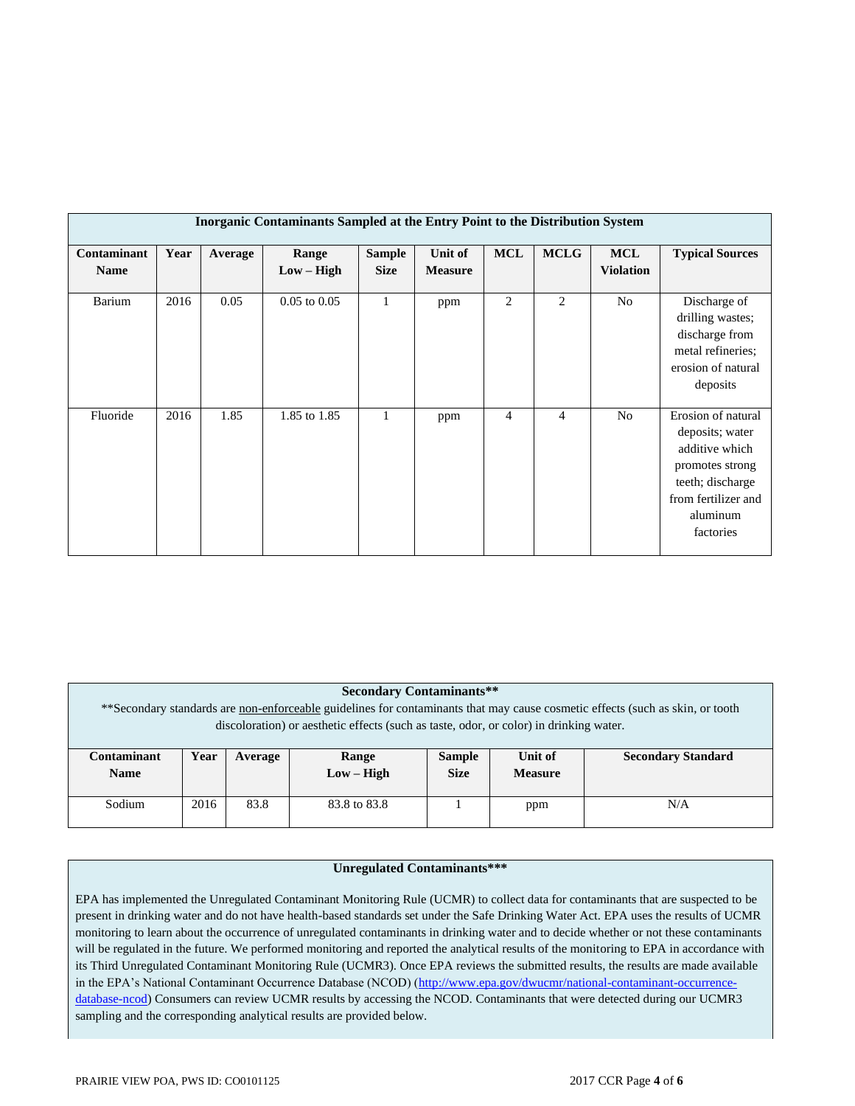| Inorganic Contaminants Sampled at the Entry Point to the Distribution System |      |         |                  |               |                |                |                |                  |                                                                                                                                                |
|------------------------------------------------------------------------------|------|---------|------------------|---------------|----------------|----------------|----------------|------------------|------------------------------------------------------------------------------------------------------------------------------------------------|
| Contaminant                                                                  | Year | Average | Range            | <b>Sample</b> | Unit of        | <b>MCL</b>     | <b>MCLG</b>    | <b>MCL</b>       | <b>Typical Sources</b>                                                                                                                         |
| <b>Name</b>                                                                  |      |         | $Low - High$     | <b>Size</b>   | <b>Measure</b> |                |                | <b>Violation</b> |                                                                                                                                                |
| Barium                                                                       | 2016 | 0.05    | $0.05$ to $0.05$ | 1             | ppm            | $\overline{2}$ | 2              | No               | Discharge of<br>drilling wastes;<br>discharge from<br>metal refineries;<br>erosion of natural<br>deposits                                      |
| Fluoride                                                                     | 2016 | 1.85    | 1.85 to 1.85     | 1             | ppm            | 4              | $\overline{4}$ | N <sub>o</sub>   | Erosion of natural<br>deposits; water<br>additive which<br>promotes strong<br>teeth; discharge<br>from fertilizer and<br>aluminum<br>factories |

### **Secondary Contaminants\*\***

\*\*Secondary standards are non-enforceable guidelines for contaminants that may cause cosmetic effects (such as skin, or tooth discoloration) or aesthetic effects (such as taste, odor, or color) in drinking water.

| Contaminant<br><b>Name</b> | Year | Average | Range<br>$Low - High$ | <b>Sample</b><br><b>Size</b> | Unit of<br><b>Measure</b> | <b>Secondary Standard</b> |
|----------------------------|------|---------|-----------------------|------------------------------|---------------------------|---------------------------|
| Sodium                     | 2016 | 83.8    | 83.8 to 83.8          |                              | ppm                       | N/A                       |

### **Unregulated Contaminants\*\*\***

EPA has implemented the Unregulated Contaminant Monitoring Rule (UCMR) to collect data for contaminants that are suspected to be present in drinking water and do not have health-based standards set under the Safe Drinking Water Act. EPA uses the results of UCMR monitoring to learn about the occurrence of unregulated contaminants in drinking water and to decide whether or not these contaminants will be regulated in the future. We performed monitoring and reported the analytical results of the monitoring to EPA in accordance with its Third Unregulated Contaminant Monitoring Rule (UCMR3). Once EPA reviews the submitted results, the results are made available in the EPA's National Contaminant Occurrence Database (NCOD) [\(http://www.epa.gov/dwucmr/national-contaminant-occurrence](http://www.epa.gov/dwucmr/national-contaminant-occurrence-database-ncod)[database-ncod\)](http://www.epa.gov/dwucmr/national-contaminant-occurrence-database-ncod) Consumers can review UCMR results by accessing the NCOD. Contaminants that were detected during our UCMR3 sampling and the corresponding analytical results are provided below.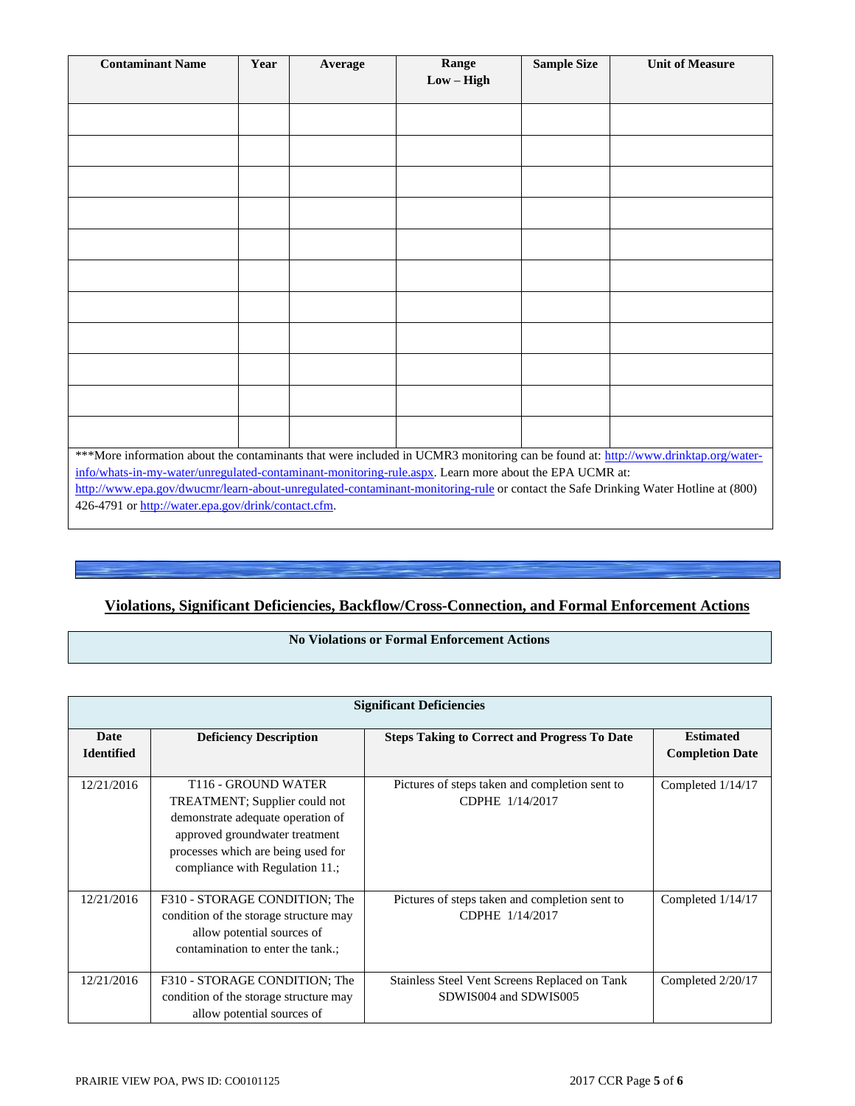| <b>Contaminant Name</b>                                                                                                                                                                                                                     | Year | Average | Range        | <b>Sample Size</b> | <b>Unit of Measure</b> |  |  |
|---------------------------------------------------------------------------------------------------------------------------------------------------------------------------------------------------------------------------------------------|------|---------|--------------|--------------------|------------------------|--|--|
|                                                                                                                                                                                                                                             |      |         | $Low - High$ |                    |                        |  |  |
|                                                                                                                                                                                                                                             |      |         |              |                    |                        |  |  |
|                                                                                                                                                                                                                                             |      |         |              |                    |                        |  |  |
|                                                                                                                                                                                                                                             |      |         |              |                    |                        |  |  |
|                                                                                                                                                                                                                                             |      |         |              |                    |                        |  |  |
|                                                                                                                                                                                                                                             |      |         |              |                    |                        |  |  |
|                                                                                                                                                                                                                                             |      |         |              |                    |                        |  |  |
|                                                                                                                                                                                                                                             |      |         |              |                    |                        |  |  |
|                                                                                                                                                                                                                                             |      |         |              |                    |                        |  |  |
|                                                                                                                                                                                                                                             |      |         |              |                    |                        |  |  |
|                                                                                                                                                                                                                                             |      |         |              |                    |                        |  |  |
|                                                                                                                                                                                                                                             |      |         |              |                    |                        |  |  |
|                                                                                                                                                                                                                                             |      |         |              |                    |                        |  |  |
|                                                                                                                                                                                                                                             |      |         |              |                    |                        |  |  |
|                                                                                                                                                                                                                                             |      |         |              |                    |                        |  |  |
|                                                                                                                                                                                                                                             |      |         |              |                    |                        |  |  |
|                                                                                                                                                                                                                                             |      |         |              |                    |                        |  |  |
|                                                                                                                                                                                                                                             |      |         |              |                    |                        |  |  |
| ***More information about the contaminants that were included in UCMR3 monitoring can be found at: http://www.drinktap.org/water-                                                                                                           |      |         |              |                    |                        |  |  |
| info/whats-in-my-water/unregulated-contaminant-monitoring-rule.aspx. Learn more about the EPA UCMR at:<br>http://www.epa.gov/dwucmr/learn-about-unregulated-contaminant-monitoring-rule or contact the Safe Drinking Water Hotline at (800) |      |         |              |                    |                        |  |  |
|                                                                                                                                                                                                                                             |      |         |              |                    |                        |  |  |
| 426-4791 or http://water.epa.gov/drink/contact.cfm.                                                                                                                                                                                         |      |         |              |                    |                        |  |  |

# **Violations, Significant Deficiencies, Backflow/Cross-Connection, and Formal Enforcement Actions**

# **No Violations or Formal Enforcement Actions**

|                                  | <b>Significant Deficiencies</b>                                                                                                                                                                                  |                                                                        |                                            |  |  |  |  |  |  |
|----------------------------------|------------------------------------------------------------------------------------------------------------------------------------------------------------------------------------------------------------------|------------------------------------------------------------------------|--------------------------------------------|--|--|--|--|--|--|
| <b>Date</b><br><b>Identified</b> | <b>Deficiency Description</b>                                                                                                                                                                                    | <b>Steps Taking to Correct and Progress To Date</b>                    | <b>Estimated</b><br><b>Completion Date</b> |  |  |  |  |  |  |
| 12/21/2016                       | T <sub>116</sub> - GROUND WATER<br>TREATMENT; Supplier could not<br>demonstrate adequate operation of<br>approved groundwater treatment<br>processes which are being used for<br>compliance with Regulation 11.; | Pictures of steps taken and completion sent to<br>CDPHE 1/14/2017      | Completed 1/14/17                          |  |  |  |  |  |  |
| 12/21/2016                       | F310 - STORAGE CONDITION; The<br>condition of the storage structure may<br>allow potential sources of<br>contamination to enter the tank.;                                                                       | Pictures of steps taken and completion sent to<br>CDPHE 1/14/2017      | Completed 1/14/17                          |  |  |  |  |  |  |
| 12/21/2016                       | F310 - STORAGE CONDITION; The<br>condition of the storage structure may<br>allow potential sources of                                                                                                            | Stainless Steel Vent Screens Replaced on Tank<br>SDWIS004 and SDWIS005 | Completed 2/20/17                          |  |  |  |  |  |  |